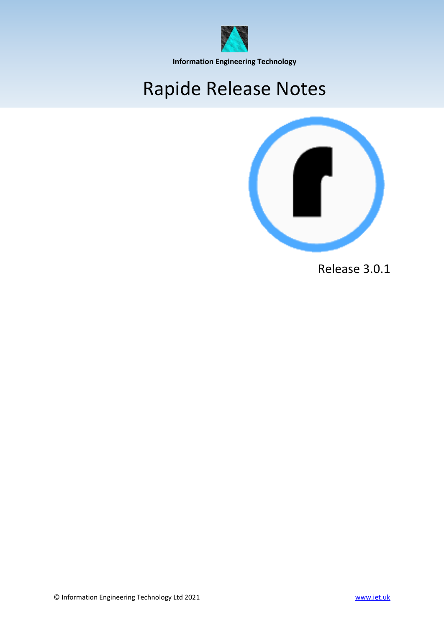

**Information Engineering Technology**

# Rapide Release Notes



Release 3.0.1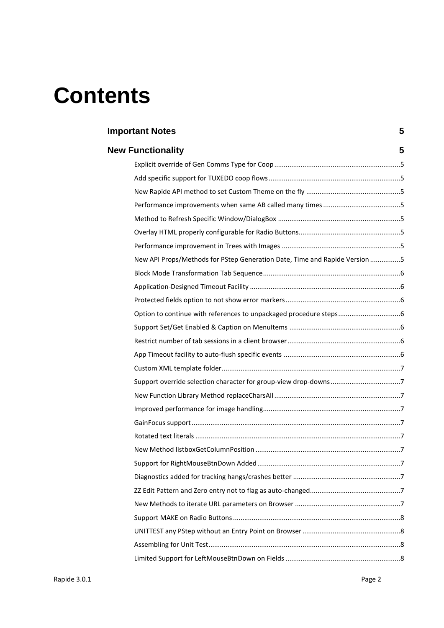# **Contents**

| <b>Important Notes</b> |                                                                            | 5 |
|------------------------|----------------------------------------------------------------------------|---|
|                        | <b>New Functionality</b>                                                   | 5 |
|                        |                                                                            |   |
|                        |                                                                            |   |
|                        |                                                                            |   |
|                        |                                                                            |   |
|                        |                                                                            |   |
|                        |                                                                            |   |
|                        |                                                                            |   |
|                        | New API Props/Methods for PStep Generation Date, Time and Rapide Version 5 |   |
|                        |                                                                            |   |
|                        |                                                                            |   |
|                        |                                                                            |   |
|                        |                                                                            |   |
|                        |                                                                            |   |
|                        |                                                                            |   |
|                        |                                                                            |   |
|                        |                                                                            |   |
|                        |                                                                            |   |
|                        |                                                                            |   |
|                        |                                                                            |   |
|                        |                                                                            |   |
|                        |                                                                            |   |
|                        |                                                                            |   |
|                        |                                                                            |   |
|                        |                                                                            |   |
|                        |                                                                            |   |
|                        |                                                                            |   |
|                        |                                                                            |   |
|                        |                                                                            |   |
|                        |                                                                            |   |
|                        |                                                                            |   |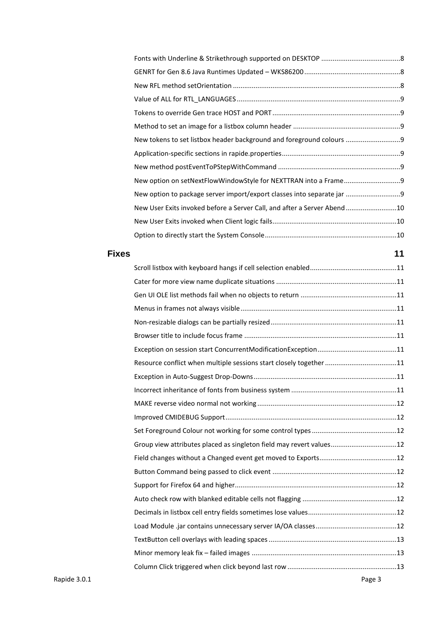| New tokens to set listbox header background and foreground colours      |  |
|-------------------------------------------------------------------------|--|
|                                                                         |  |
|                                                                         |  |
|                                                                         |  |
| New option to package server import/export classes into separate jar    |  |
| New User Exits invoked before a Server Call, and after a Server Abend10 |  |
|                                                                         |  |
|                                                                         |  |
|                                                                         |  |

| <b>Fixes</b> |                                                                     | 11 |
|--------------|---------------------------------------------------------------------|----|
|              |                                                                     |    |
|              |                                                                     |    |
|              |                                                                     |    |
|              |                                                                     |    |
|              |                                                                     |    |
|              |                                                                     |    |
|              |                                                                     |    |
|              | Resource conflict when multiple sessions start closely together 11  |    |
|              |                                                                     |    |
|              |                                                                     |    |
|              |                                                                     |    |
|              |                                                                     |    |
|              |                                                                     |    |
|              | Group view attributes placed as singleton field may revert values12 |    |
|              |                                                                     |    |
|              |                                                                     |    |
|              |                                                                     |    |
|              |                                                                     |    |
|              |                                                                     |    |
|              |                                                                     |    |
|              |                                                                     |    |
|              |                                                                     |    |
|              |                                                                     |    |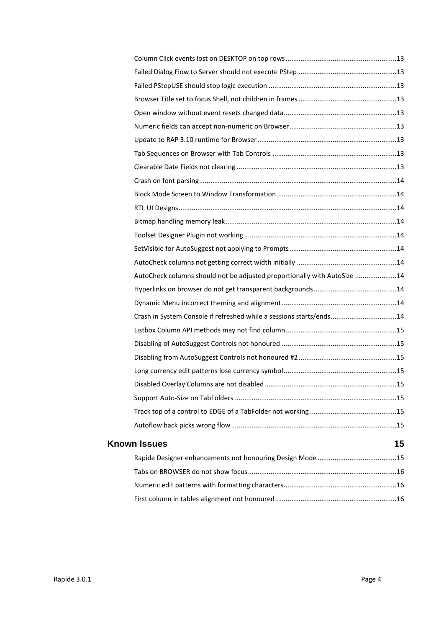| AutoCheck columns should not be adjusted proportionally with AutoSize 14 |    |
|--------------------------------------------------------------------------|----|
|                                                                          |    |
|                                                                          |    |
| Crash in System Console if refreshed while a sessions starts/ends14      |    |
|                                                                          |    |
|                                                                          |    |
|                                                                          |    |
|                                                                          |    |
|                                                                          |    |
|                                                                          |    |
|                                                                          |    |
|                                                                          |    |
| <b>Known Issues</b>                                                      | 15 |
|                                                                          |    |
|                                                                          |    |
|                                                                          |    |
|                                                                          |    |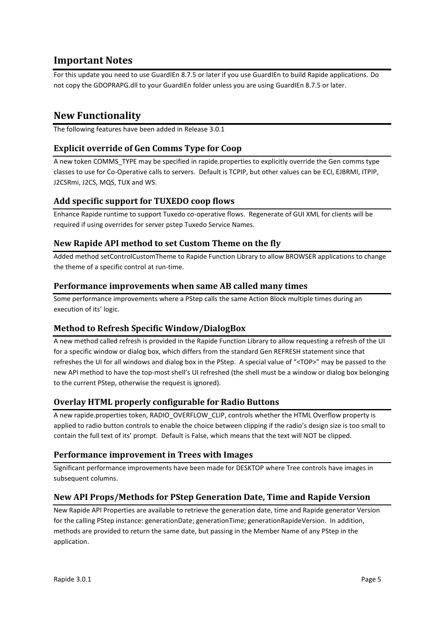# <span id="page-4-0"></span>**Important Notes**

For this update you need to use GuardIEn 8.7.5 or later if you use GuardIEn to build Rapide applications. Do not copy the GDOPRAPG.dll to your GuardIEn folder unless you are using GuardIEn 8.7.5 or later.

# <span id="page-4-1"></span>**New Functionality**

The following features have been added in Release 3.0.1

## <span id="page-4-2"></span>**Explicit override of Gen Comms Type for Coop**

A new token COMMS\_TYPE may be specified in rapide.properties to explicitly override the Gen comms type classes to use for Co-Operative calls to servers. Default is TCPIP, but other values can be ECI, EJBRMI, ITPIP, J2CSRmi, J2CS, MQS, TUX and WS.

#### <span id="page-4-3"></span>**Add specific support for TUXEDO coop flows**

Enhance Rapide runtime to support Tuxedo co-operative flows. Regenerate of GUI XML for clients will be required if using overrides for server pstep Tuxedo Service Names.

#### <span id="page-4-4"></span>**New Rapide API method to set Custom Theme on the fly**

Added method setControlCustomTheme to Rapide Function Library to allow BROWSER applications to change the theme of a specific control at run-time.

#### <span id="page-4-5"></span>**Performance improvements when same AB called many times**

Some performance improvements where a PStep calls the same Action Block multiple times during an execution of its' logic.

#### <span id="page-4-6"></span>**Method to Refresh Specific Window/DialogBox**

A new method called refresh is provided in the Rapide Function Library to allow requesting a refresh of the UI for a specific window or dialog box, which differs from the standard Gen REFRESH statement since that refreshes the UI for all windows and dialog box in the PStep. A special value of "<TOP>" may be passed to the new API method to have the top-most shell's UI refreshed (the shell must be a window or dialog box belonging to the current PStep, otherwise the request is ignored).

#### <span id="page-4-7"></span>**Overlay HTML properly configurable for Radio Buttons**

A new rapide.properties token, RADIO\_OVERFLOW\_CLIP, controls whether the HTML Overflow property is applied to radio button controls to enable the choice between clipping if the radio's design size is too small to contain the full text of its' prompt. Default is False, which means that the text will NOT be clipped.

#### <span id="page-4-8"></span>**Performance improvement in Trees with Images**

Significant performance improvements have been made for DESKTOP where Tree controls have images in subsequent columns.

#### <span id="page-4-9"></span>**New API Props/Methods for PStep Generation Date, Time and Rapide Version**

New Rapide API Properties are available to retrieve the generation date, time and Rapide generator Version for the calling PStep instance: generationDate; generationTime; generationRapideVersion. In addition, methods are provided to return the same date, but passing in the Member Name of any PStep in the application.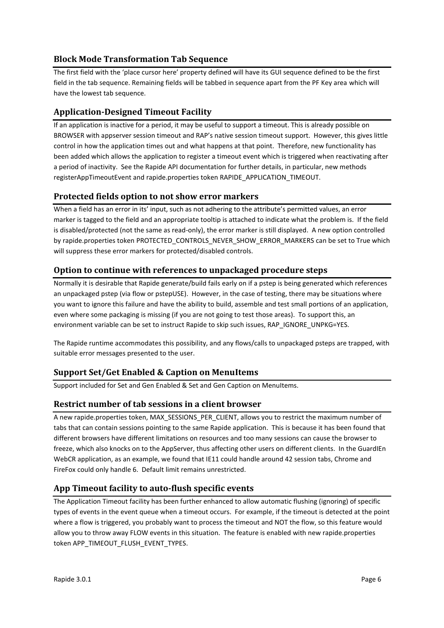# <span id="page-5-0"></span>**Block Mode Transformation Tab Sequence**

The first field with the 'place cursor here' property defined will have its GUI sequence defined to be the first field in the tab sequence. Remaining fields will be tabbed in sequence apart from the PF Key area which will have the lowest tab sequence.

# <span id="page-5-1"></span>**Application-Designed Timeout Facility**

If an application is inactive for a period, it may be useful to support a timeout. This is already possible on BROWSER with appserver session timeout and RAP's native session timeout support. However, this gives little control in how the application times out and what happens at that point. Therefore, new functionality has been added which allows the application to register a timeout event which is triggered when reactivating after a period of inactivity. See the Rapide API documentation for further details, in particular, new methods registerAppTimeoutEvent and rapide.properties token RAPIDE\_APPLICATION\_TIMEOUT.

#### <span id="page-5-2"></span>**Protected fields option to not show error markers**

When a field has an error in its' input, such as not adhering to the attribute's permitted values, an error marker is tagged to the field and an appropriate tooltip is attached to indicate what the problem is. If the field is disabled/protected (not the same as read-only), the error marker is still displayed. A new option controlled by rapide.properties token PROTECTED\_CONTROLS\_NEVER\_SHOW\_ERROR\_MARKERS can be set to True which will suppress these error markers for protected/disabled controls.

# <span id="page-5-3"></span>**Option to continue with references to unpackaged procedure steps**

Normally it is desirable that Rapide generate/build fails early on if a pstep is being generated which references an unpackaged pstep (via flow or pstepUSE). However, in the case of testing, there may be situations where you want to ignore this failure and have the ability to build, assemble and test small portions of an application, even where some packaging is missing (if you are not going to test those areas). To support this, an environment variable can be set to instruct Rapide to skip such issues, RAP IGNORE\_UNPKG=YES.

The Rapide runtime accommodates this possibility, and any flows/calls to unpackaged psteps are trapped, with suitable error messages presented to the user.

# <span id="page-5-4"></span>**Support Set/Get Enabled & Caption on MenuItems**

Support included for Set and Gen Enabled & Set and Gen Caption on MenuItems.

#### <span id="page-5-5"></span>**Restrict number of tab sessions in a client browser**

A new rapide.properties token, MAX\_SESSIONS\_PER\_CLIENT, allows you to restrict the maximum number of tabs that can contain sessions pointing to the same Rapide application. This is because it has been found that different browsers have different limitations on resources and too many sessions can cause the browser to freeze, which also knocks on to the AppServer, thus affecting other users on different clients. In the GuardIEn WebCR application, as an example, we found that IE11 could handle around 42 session tabs, Chrome and FireFox could only handle 6. Default limit remains unrestricted.

# <span id="page-5-6"></span>**App Timeout facility to auto-flush specific events**

The Application Timeout facility has been further enhanced to allow automatic flushing (ignoring) of specific types of events in the event queue when a timeout occurs. For example, if the timeout is detected at the point where a flow is triggered, you probably want to process the timeout and NOT the flow, so this feature would allow you to throw away FLOW events in this situation. The feature is enabled with new rapide.properties token APP\_TIMEOUT\_FLUSH\_EVENT\_TYPES.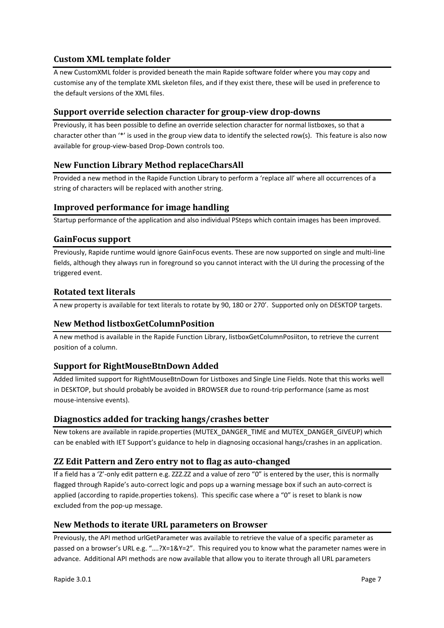# <span id="page-6-0"></span>**Custom XML template folder**

A new CustomXML folder is provided beneath the main Rapide software folder where you may copy and customise any of the template XML skeleton files, and if they exist there, these will be used in preference to the default versions of the XML files.

# <span id="page-6-1"></span>**Support override selection character for group-view drop-downs**

Previously, it has been possible to define an override selection character for normal listboxes, so that a character other than '\*' is used in the group view data to identify the selected row(s). This feature is also now available for group-view-based Drop-Down controls too.

# <span id="page-6-2"></span>**New Function Library Method replaceCharsAll**

Provided a new method in the Rapide Function Library to perform a 'replace all' where all occurrences of a string of characters will be replaced with another string.

#### <span id="page-6-3"></span>**Improved performance for image handling**

Startup performance of the application and also individual PSteps which contain images has been improved.

#### <span id="page-6-4"></span>**GainFocus support**

Previously, Rapide runtime would ignore GainFocus events. These are now supported on single and multi-line fields, although they always run in foreground so you cannot interact with the UI during the processing of the triggered event.

# <span id="page-6-5"></span>**Rotated text literals**

A new property is available for text literals to rotate by 90, 180 or 270'. Supported only on DESKTOP targets.

#### <span id="page-6-6"></span>**New Method listboxGetColumnPosition**

A new method is available in the Rapide Function Library, listboxGetColumnPosiiton, to retrieve the current position of a column.

#### <span id="page-6-7"></span>**Support for RightMouseBtnDown Added**

Added limited support for RightMouseBtnDown for Listboxes and Single Line Fields. Note that this works well in DESKTOP, but should probably be avoided in BROWSER due to round-trip performance (same as most mouse-intensive events).

#### <span id="page-6-8"></span>**Diagnostics added for tracking hangs/crashes better**

New tokens are available in rapide.properties (MUTEX\_DANGER\_TIME and MUTEX\_DANGER\_GIVEUP) which can be enabled with IET Support's guidance to help in diagnosing occasional hangs/crashes in an application.

# <span id="page-6-9"></span>**ZZ Edit Pattern and Zero entry not to flag as auto-changed**

If a field has a 'Z'-only edit pattern e.g. ZZZ.ZZ and a value of zero "0" is entered by the user, this is normally flagged through Rapide's auto-correct logic and pops up a warning message box if such an auto-correct is applied (according to rapide.properties tokens). This specific case where a "0" is reset to blank is now excluded from the pop-up message.

#### <span id="page-6-10"></span>**New Methods to iterate URL parameters on Browser**

Previously, the API method urlGetParameter was available to retrieve the value of a specific parameter as passed on a browser's URL e.g. "….?X=1&Y=2". This required you to know what the parameter names were in advance. Additional API methods are now available that allow you to iterate through all URL parameters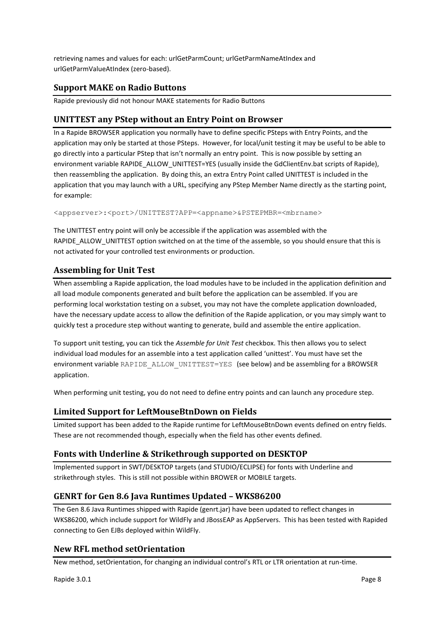retrieving names and values for each: urlGetParmCount; urlGetParmNameAtIndex and urlGetParmValueAtIndex (zero-based).

# <span id="page-7-0"></span>**Support MAKE on Radio Buttons**

Rapide previously did not honour MAKE statements for Radio Buttons

# <span id="page-7-1"></span>**UNITTEST any PStep without an Entry Point on Browser**

In a Rapide BROWSER application you normally have to define specific PSteps with Entry Points, and the application may only be started at those PSteps. However, for local/unit testing it may be useful to be able to go directly into a particular PStep that isn't normally an entry point. This is now possible by setting an environment variable RAPIDE\_ALLOW\_UNITTEST=YES (usually inside the GdClientEnv.bat scripts of Rapide), then reassembling the application. By doing this, an extra Entry Point called UNITTEST is included in the application that you may launch with a URL, specifying any PStep Member Name directly as the starting point, for example:

<appserver>:<port>/UNITTEST?APP=<appname>&PSTEPMBR=<mbrname>

The UNITTEST entry point will only be accessible if the application was assembled with the RAPIDE\_ALLOW\_UNITTEST option switched on at the time of the assemble, so you should ensure that this is not activated for your controlled test environments or production.

# <span id="page-7-2"></span>**Assembling for Unit Test**

When assembling a Rapide application, the load modules have to be included in the application definition and all load module components generated and built before the application can be assembled. If you are performing local workstation testing on a subset, you may not have the complete application downloaded, have the necessary update access to allow the definition of the Rapide application, or you may simply want to quickly test a procedure step without wanting to generate, build and assemble the entire application.

To support unit testing, you can tick the *Assemble for Unit Test* checkbox. This then allows you to select individual load modules for an assemble into a test application called 'unittest'. You must have set the environment variable RAPIDE\_ALLOW\_UNITTEST=YES (see below) and be assembling for a BROWSER application.

When performing unit testing, you do not need to define entry points and can launch any procedure step.

# <span id="page-7-3"></span>**Limited Support for LeftMouseBtnDown on Fields**

Limited support has been added to the Rapide runtime for LeftMouseBtnDown events defined on entry fields. These are not recommended though, especially when the field has other events defined.

# <span id="page-7-4"></span>**Fonts with Underline & Strikethrough supported on DESKTOP**

Implemented support in SWT/DESKTOP targets (and STUDIO/ECLIPSE) for fonts with Underline and strikethrough styles. This is still not possible within BROWER or MOBILE targets.

# <span id="page-7-5"></span>**GENRT for Gen 8.6 Java Runtimes Updated – WKS86200**

The Gen 8.6 Java Runtimes shipped with Rapide (genrt.jar) have been updated to reflect changes in WKS86200, which include support for WildFly and JBossEAP as AppServers. This has been tested with Rapided connecting to Gen EJBs deployed within WildFly.

#### <span id="page-7-6"></span>**New RFL method setOrientation**

New method, setOrientation, for changing an individual control's RTL or LTR orientation at run-time.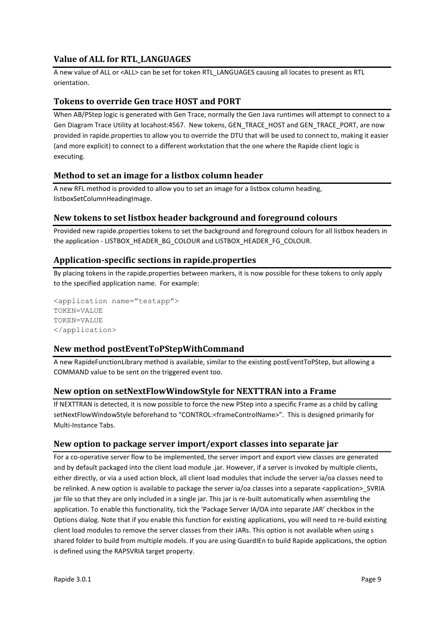# <span id="page-8-0"></span>**Value of ALL for RTL\_LANGUAGES**

A new value of ALL or <ALL> can be set for token RTL\_LANGUAGES causing all locates to present as RTL orientation.

#### <span id="page-8-1"></span>**Tokens to override Gen trace HOST and PORT**

When AB/PStep logic is generated with Gen Trace, normally the Gen Java runtimes will attempt to connect to a Gen Diagram Trace Utility at locahost:4567. New tokens, GEN\_TRACE\_HOST and GEN\_TRACE\_PORT, are now provided in rapide.properties to allow you to override the DTU that will be used to connect to, making it easier (and more explicit) to connect to a different workstation that the one where the Rapide client logic is executing.

#### <span id="page-8-2"></span>**Method to set an image for a listbox column header**

A new RFL method is provided to allow you to set an image for a listbox column heading, listboxSetColumnHeadingImage.

#### <span id="page-8-3"></span>**New tokens to set listbox header background and foreground colours**

Provided new rapide.properties tokens to set the background and foreground colours for all listbox headers in the application - LISTBOX\_HEADER\_BG\_COLOUR and LISTBOX\_HEADER\_FG\_COLOUR.

#### <span id="page-8-4"></span>**Application-specific sections in rapide.properties**

By placing tokens in the rapide.properties between markers, it is now possible for these tokens to only apply to the specified application name. For example:

```
<application name="testapp">
TOKEN=VALUE
TOKEN=VALUE
</application>
```
#### <span id="page-8-5"></span>**New method postEventToPStepWithCommand**

A new RapideFunctionLibrary method is available, similar to the existing postEventToPStep, but allowing a COMMAND value to be sent on the triggered event too.

#### <span id="page-8-6"></span>**New option on setNextFlowWindowStyle for NEXTTRAN into a Frame**

If NEXTTRAN is detected, it is now possible to force the new PStep into a specific Frame as a child by calling setNextFlowWindowStyle beforehand to "CONTROL:<frameControlName>". This is designed primarily for Multi-Instance Tabs.

#### <span id="page-8-7"></span>**New option to package server import/export classes into separate jar**

For a co-operative server flow to be implemented, the server import and export view classes are generated and by default packaged into the client load module .jar. However, if a server is invoked by multiple clients, either directly, or via a used action block, all client load modules that include the server ia/oa classes need to be relinked. A new option is available to package the server ia/oa classes into a separate <application>\_SVRIA jar file so that they are only included in a single jar. This jar is re-built automatically when assembling the application. To enable this functionality, tick the 'Package Server IA/OA into separate JAR' checkbox in the Options dialog. Note that if you enable this function for existing applications, you will need to re-build existing client load modules to remove the server classes from their JARs. This option is not available when using s shared folder to build from multiple models. If you are using GuardIEn to build Rapide applications, the option is defined using the RAPSVRIA target property.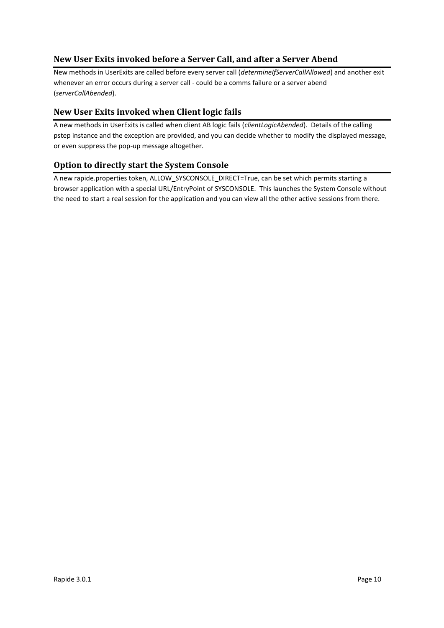# <span id="page-9-0"></span>**New User Exits invoked before a Server Call, and after a Server Abend**

New methods in UserExits are called before every server call (*determineIfServerCallAllowed*) and another exit whenever an error occurs during a server call - could be a comms failure or a server abend (*serverCallAbended*).

# <span id="page-9-1"></span>**New User Exits invoked when Client logic fails**

A new methods in UserExits is called when client AB logic fails (*clientLogicAbended*). Details of the calling pstep instance and the exception are provided, and you can decide whether to modify the displayed message, or even suppress the pop-up message altogether.

# <span id="page-9-2"></span>**Option to directly start the System Console**

A new rapide.properties token, ALLOW\_SYSCONSOLE\_DIRECT=True, can be set which permits starting a browser application with a special URL/EntryPoint of SYSCONSOLE. This launches the System Console without the need to start a real session for the application and you can view all the other active sessions from there.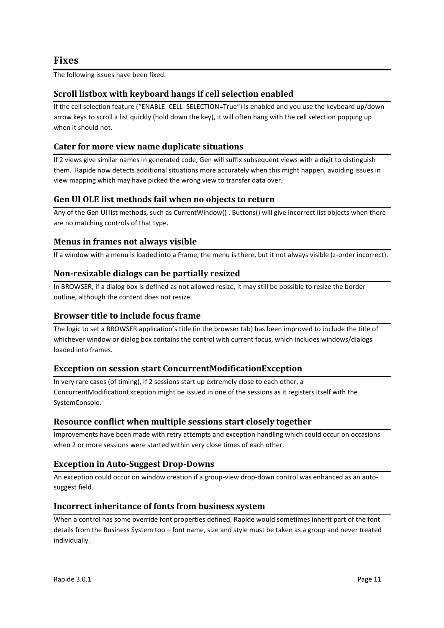<span id="page-10-0"></span>The following issues have been fixed.

# <span id="page-10-1"></span>**Scroll listbox with keyboard hangs if cell selection enabled**

If the cell selection feature ("ENABLE\_CELL\_SELECTION=True") is enabled and you use the keyboard up/down arrow keys to scroll a list quickly (hold down the key), it will often hang with the cell selection popping up when it should not.

# <span id="page-10-2"></span>**Cater for more view name duplicate situations**

If 2 views give similar names in generated code, Gen will suffix subsequent views with a digit to distinguish them. Rapide now detects additional situations more accurately when this might happen, avoiding issues in view mapping which may have picked the wrong view to transfer data over.

# <span id="page-10-3"></span>**Gen UI OLE list methods fail when no objects to return**

Any of the Gen UI list methods, such as CurrentWindow() . Buttons() will give incorrect list objects when there are no matching controls of that type.

#### <span id="page-10-4"></span>**Menus in frames not always visible**

If a window with a menu is loaded into a Frame, the menu is there, but it not always visible (z-order incorrect).

#### <span id="page-10-5"></span>**Non-resizable dialogs can be partially resized**

In BROWSER, if a dialog box is defined as not allowed resize, it may still be possible to resize the border outline, although the content does not resize.

## <span id="page-10-6"></span>**Browser title to include focus frame**

The logic to set a BROWSER application's title (in the browser tab) has been improved to include the title of whichever window or dialog box contains the control with current focus, which includes windows/dialogs loaded into frames.

#### <span id="page-10-7"></span>**Exception on session start ConcurrentModificationException**

In very rare cases (of timing), if 2 sessions start up extremely close to each other, a ConcurrentModificationException might be issued in one of the sessions as it registers itself with the SystemConsole.

#### <span id="page-10-8"></span>**Resource conflict when multiple sessions start closely together**

Improvements have been made with retry attempts and exception handling which could occur on occasions when 2 or more sessions were started within very close times of each other.

# <span id="page-10-9"></span>**Exception in Auto-Suggest Drop-Downs**

An exception could occur on window creation if a group-view drop-down control was enhanced as an autosuggest field.

#### <span id="page-10-10"></span>**Incorrect inheritance of fonts from business system**

When a control has some override font properties defined, Rapide would sometimes inherit part of the font details from the Business System too – font name, size and style must be taken as a group and never treated individually.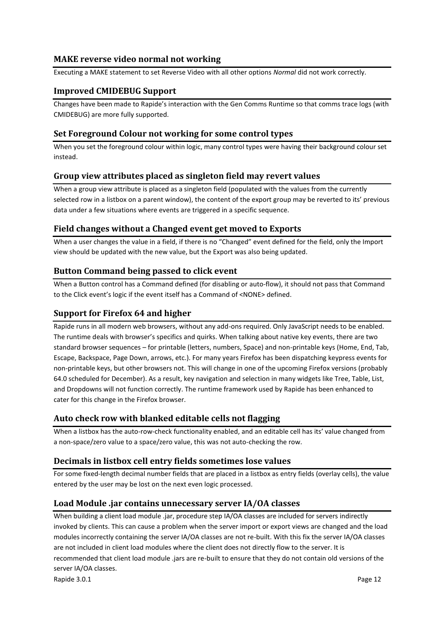#### <span id="page-11-0"></span>**MAKE reverse video normal not working**

Executing a MAKE statement to set Reverse Video with all other options *Normal* did not work correctly.

#### <span id="page-11-1"></span>**Improved CMIDEBUG Support**

Changes have been made to Rapide's interaction with the Gen Comms Runtime so that comms trace logs (with CMIDEBUG) are more fully supported.

#### <span id="page-11-2"></span>**Set Foreground Colour not working for some control types**

When you set the foreground colour within logic, many control types were having their background colour set instead.

#### <span id="page-11-3"></span>**Group view attributes placed as singleton field may revert values**

When a group view attribute is placed as a singleton field (populated with the values from the currently selected row in a listbox on a parent window), the content of the export group may be reverted to its' previous data under a few situations where events are triggered in a specific sequence.

#### <span id="page-11-4"></span>**Field changes without a Changed event get moved to Exports**

When a user changes the value in a field, if there is no "Changed" event defined for the field, only the Import view should be updated with the new value, but the Export was also being updated.

#### <span id="page-11-5"></span>**Button Command being passed to click event**

When a Button control has a Command defined (for disabling or auto-flow), it should not pass that Command to the Click event's logic if the event itself has a Command of <NONE> defined.

#### <span id="page-11-6"></span>**Support for Firefox 64 and higher**

Rapide runs in all modern web browsers, without any add-ons required. Only JavaScript needs to be enabled. The runtime deals with browser's specifics and quirks. When talking about native key events, there are two standard browser sequences – for printable (letters, numbers, Space) and non-printable keys (Home, End, Tab, Escape, Backspace, Page Down, arrows, etc.). For many years Firefox has been dispatching keypress events for non-printable keys, but other browsers not. This will change in one of the upcoming Firefox versions (probably 64.0 scheduled for December). As a result, key navigation and selection in many widgets like Tree, Table, List, and Dropdowns will not function correctly. The runtime framework used by Rapide has been enhanced to cater for this change in the Firefox browser.

#### <span id="page-11-7"></span>**Auto check row with blanked editable cells not flagging**

When a listbox has the auto-row-check functionality enabled, and an editable cell has its' value changed from a non-space/zero value to a space/zero value, this was not auto-checking the row.

#### <span id="page-11-8"></span>**Decimals in listbox cell entry fields sometimes lose values**

For some fixed-length decimal number fields that are placed in a listbox as entry fields (overlay cells), the value entered by the user may be lost on the next even logic processed.

#### <span id="page-11-9"></span>**Load Module .jar contains unnecessary server IA/OA classes**

Rapide 3.0.1 Page 12 When building a client load module .jar, procedure step IA/OA classes are included for servers indirectly invoked by clients. This can cause a problem when the server import or export views are changed and the load modules incorrectly containing the server IA/OA classes are not re-built. With this fix the server IA/OA classes are not included in client load modules where the client does not directly flow to the server. It is recommended that client load module .jars are re-built to ensure that they do not contain old versions of the server IA/OA classes.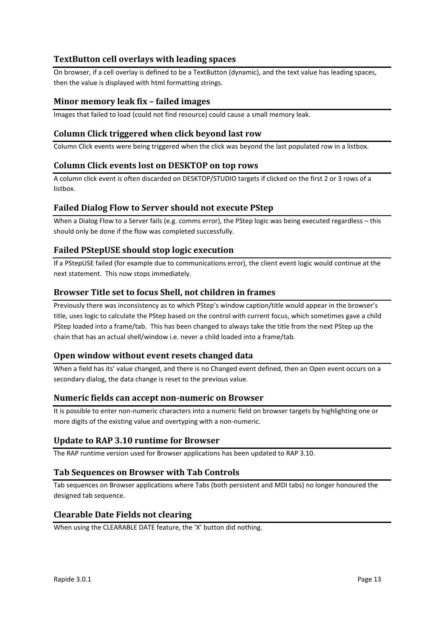# <span id="page-12-0"></span>**TextButton cell overlays with leading spaces**

On browser, if a cell overlay is defined to be a TextButton (dynamic), and the text value has leading spaces, then the value is displayed with html formatting strings.

## <span id="page-12-1"></span>**Minor memory leak fix – failed images**

Images that failed to load (could not find resource) could cause a small memory leak.

#### <span id="page-12-2"></span>**Column Click triggered when click beyond last row**

Column Click events were being triggered when the click was beyond the last populated row in a listbox.

#### <span id="page-12-3"></span>**Column Click events lost on DESKTOP on top rows**

A column click event is often discarded on DESKTOP/STUDIO targets if clicked on the first 2 or 3 rows of a listbox.

#### <span id="page-12-4"></span>**Failed Dialog Flow to Server should not execute PStep**

When a Dialog Flow to a Server fails (e.g. comms error), the PStep logic was being executed regardless – this should only be done if the flow was completed successfully.

#### <span id="page-12-5"></span>**Failed PStepUSE should stop logic execution**

If a PStepUSE failed (for example due to communications error), the client event logic would continue at the next statement. This now stops immediately.

#### <span id="page-12-6"></span>**Browser Title set to focus Shell, not children in frames**

Previously there was inconsistency as to which PStep's window caption/title would appear in the browser's title, uses logic to calculate the PStep based on the control with current focus, which sometimes gave a child PStep loaded into a frame/tab. This has been changed to always take the title from the next PStep up the chain that has an actual shell/window i.e. never a child loaded into a frame/tab.

#### <span id="page-12-7"></span>**Open window without event resets changed data**

When a field has its' value changed, and there is no Changed event defined, then an Open event occurs on a secondary dialog, the data change is reset to the previous value.

#### <span id="page-12-8"></span>**Numeric fields can accept non-numeric on Browser**

It is possible to enter non-numeric characters into a numeric field on browser targets by highlighting one or more digits of the existing value and overtyping with a non-numeric.

#### <span id="page-12-9"></span>**Update to RAP 3.10 runtime for Browser**

The RAP runtime version used for Browser applications has been updated to RAP 3.10.

#### <span id="page-12-10"></span>**Tab Sequences on Browser with Tab Controls**

Tab sequences on Browser applications where Tabs (both persistent and MDI tabs) no longer honoured the designed tab sequence.

#### <span id="page-12-11"></span>**Clearable Date Fields not clearing**

When using the CLEARABLE DATE feature, the 'X' button did nothing.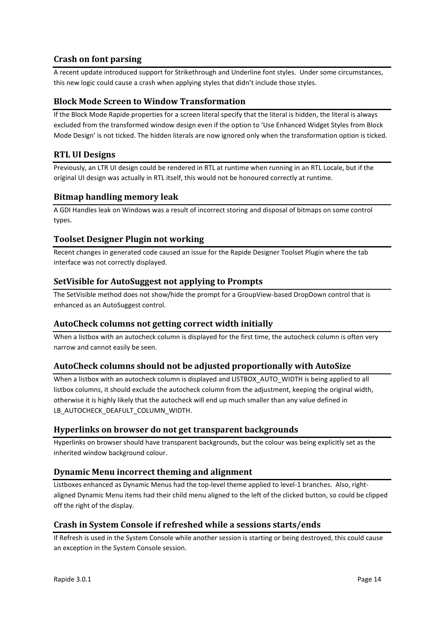# <span id="page-13-0"></span>**Crash on font parsing**

A recent update introduced support for Strikethrough and Underline font styles. Under some circumstances, this new logic could cause a crash when applying styles that didn't include those styles.

#### <span id="page-13-1"></span>**Block Mode Screen to Window Transformation**

If the Block Mode Rapide properties for a screen literal specify that the literal is hidden, the literal is always excluded from the transformed window design even if the option to 'Use Enhanced Widget Styles from Block Mode Design' is not ticked. The hidden literals are now ignored only when the transformation option is ticked.

#### <span id="page-13-2"></span>**RTL UI Designs**

Previously, an LTR UI design could be rendered in RTL at runtime when running in an RTL Locale, but if the original UI design was actually in RTL itself, this would not be honoured correctly at runtime.

#### <span id="page-13-3"></span>**Bitmap handling memory leak**

A GDI Handles leak on Windows was a result of incorrect storing and disposal of bitmaps on some control types.

#### <span id="page-13-4"></span>**Toolset Designer Plugin not working**

Recent changes in generated code caused an issue for the Rapide Designer Toolset Plugin where the tab interface was not correctly displayed.

#### <span id="page-13-5"></span>**SetVisible for AutoSuggest not applying to Prompts**

The SetVisible method does not show/hide the prompt for a GroupView-based DropDown control that is enhanced as an AutoSuggest control.

#### <span id="page-13-6"></span>**AutoCheck columns not getting correct width initially**

When a listbox with an autocheck column is displayed for the first time, the autocheck column is often very narrow and cannot easily be seen.

#### <span id="page-13-7"></span>**AutoCheck columns should not be adjusted proportionally with AutoSize**

When a listbox with an autocheck column is displayed and LISTBOX\_AUTO\_WIDTH is being applied to all listbox columns, it should exclude the autocheck column from the adjustment, keeping the original width, otherwise it is highly likely that the autocheck will end up much smaller than any value defined in LB\_AUTOCHECK\_DEAFULT\_COLUMN\_WIDTH.

#### <span id="page-13-8"></span>**Hyperlinks on browser do not get transparent backgrounds**

Hyperlinks on browser should have transparent backgrounds, but the colour was being explicitly set as the inherited window background colour.

#### <span id="page-13-9"></span>**Dynamic Menu incorrect theming and alignment**

Listboxes enhanced as Dynamic Menus had the top-level theme applied to level-1 branches. Also, rightaligned Dynamic Menu items had their child menu aligned to the left of the clicked button, so could be clipped off the right of the display.

#### <span id="page-13-10"></span>**Crash in System Console if refreshed while a sessions starts/ends**

If Refresh is used in the System Console while another session is starting or being destroyed, this could cause an exception in the System Console session.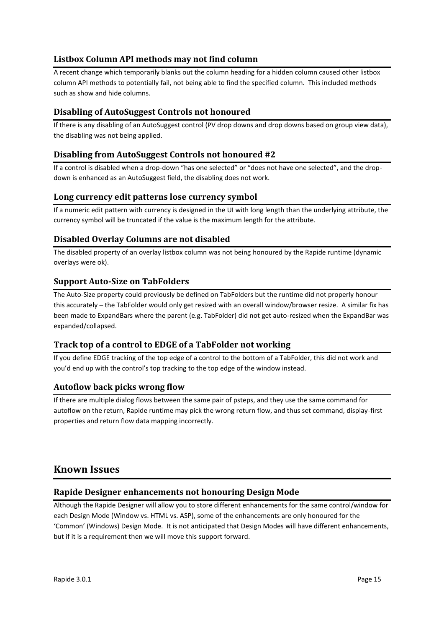# <span id="page-14-0"></span>**Listbox Column API methods may not find column**

A recent change which temporarily blanks out the column heading for a hidden column caused other listbox column API methods to potentially fail, not being able to find the specified column. This included methods such as show and hide columns.

# <span id="page-14-1"></span>**Disabling of AutoSuggest Controls not honoured**

If there is any disabling of an AutoSuggest control (PV drop downs and drop downs based on group view data), the disabling was not being applied.

#### <span id="page-14-2"></span>**Disabling from AutoSuggest Controls not honoured #2**

If a control is disabled when a drop-down "has one selected" or "does not have one selected", and the dropdown is enhanced as an AutoSuggest field, the disabling does not work.

#### <span id="page-14-3"></span>**Long currency edit patterns lose currency symbol**

If a numeric edit pattern with currency is designed in the UI with long length than the underlying attribute, the currency symbol will be truncated if the value is the maximum length for the attribute.

#### <span id="page-14-4"></span>**Disabled Overlay Columns are not disabled**

The disabled property of an overlay listbox column was not being honoured by the Rapide runtime (dynamic overlays were ok).

#### <span id="page-14-5"></span>**Support Auto-Size on TabFolders**

The Auto-Size property could previously be defined on TabFolders but the runtime did not properly honour this accurately – the TabFolder would only get resized with an overall window/browser resize. A similar fix has been made to ExpandBars where the parent (e.g. TabFolder) did not get auto-resized when the ExpandBar was expanded/collapsed.

#### <span id="page-14-6"></span>**Track top of a control to EDGE of a TabFolder not working**

If you define EDGE tracking of the top edge of a control to the bottom of a TabFolder, this did not work and you'd end up with the control's top tracking to the top edge of the window instead.

#### <span id="page-14-7"></span>**Autoflow back picks wrong flow**

If there are multiple dialog flows between the same pair of psteps, and they use the same command for autoflow on the return, Rapide runtime may pick the wrong return flow, and thus set command, display-first properties and return flow data mapping incorrectly.

# <span id="page-14-8"></span>**Known Issues**

#### <span id="page-14-9"></span>**Rapide Designer enhancements not honouring Design Mode**

Although the Rapide Designer will allow you to store different enhancements for the same control/window for each Design Mode (Window vs. HTML vs. ASP), some of the enhancements are only honoured for the 'Common' (Windows) Design Mode. It is not anticipated that Design Modes will have different enhancements, but if it is a requirement then we will move this support forward.